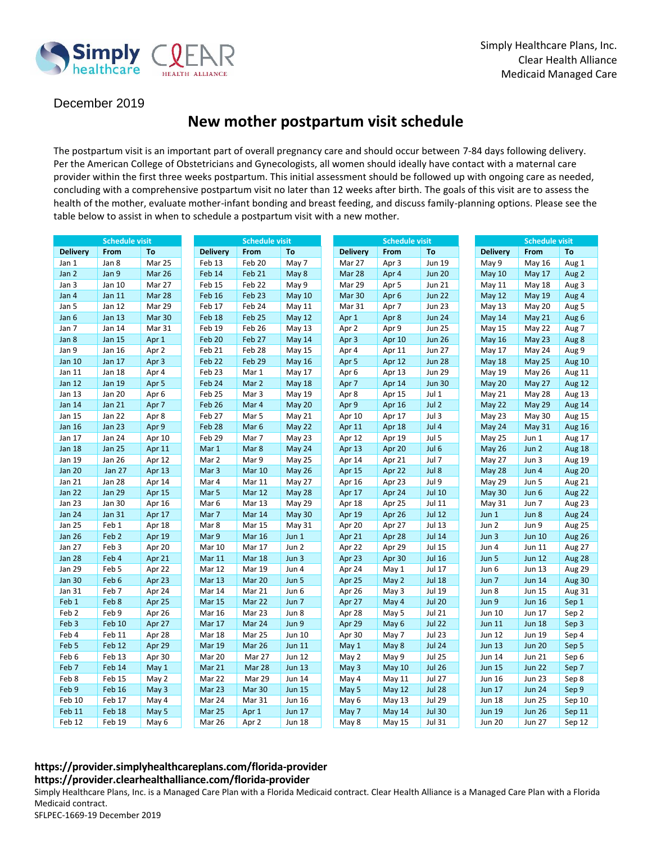

December 2019

## **New mother postpartum visit schedule**

The postpartum visit is an important part of overall pregnancy care and should occur between 7-84 days following delivery. Per the American College of Obstetricians and Gynecologists, all women should ideally have contact with a maternal care provider within the first three weeks postpartum. This initial assessment should be followed up with ongoing care as needed, concluding with a comprehensive postpartum visit no later than 12 weeks after birth. The goals of this visit are to assess the health of the mother, evaluate mother-infant bonding and breast feeding, and discuss family-planning options. Please see the table below to assist in when to schedule a postpartum visit with a new mother.

| <b>Schedule visit</b> |                  |                  |                  | <b>Schedule visit</b> |                  |  | <b>Schedule visit</b> |               |               |  | <b>Schedule visit</b> |               |               |  |
|-----------------------|------------------|------------------|------------------|-----------------------|------------------|--|-----------------------|---------------|---------------|--|-----------------------|---------------|---------------|--|
| <b>Delivery</b>       | From             | To               | <b>Delivery</b>  | From                  | To               |  | <b>Delivery</b>       | From          | To            |  | <b>Delivery</b>       | From          | To            |  |
| Jan 1                 | Jan 8            | Mar 25           | Feb 13           | Feb 20                | May 7            |  | Mar 27                | Apr 3         | <b>Jun 19</b> |  | May 9                 | May 16        | Aug 1         |  |
| Jan 2                 | Jan 9            | <b>Mar 26</b>    | Feb 14           | Feb 21                | May 8            |  | Mar 28                | Apr 4         | <b>Jun 20</b> |  | <b>May 10</b>         | <b>May 17</b> | Aug 2         |  |
| Jan 3                 | Jan 10           | Mar 27           | Feb 15           | Feb 22                | May 9            |  | Mar 29                | Apr 5         | <b>Jun 21</b> |  | May 11                | <b>May 18</b> | Aug 3         |  |
| Jan 4                 | Jan 11           | Mar 28           | Feb 16           | Feb 23                | May 10           |  | Mar 30                | Apr 6         | <b>Jun 22</b> |  | <b>May 12</b>         | <b>May 19</b> | Aug 4         |  |
| Jan 5                 | Jan 12           | Mar 29           | Feb 17           | Feb 24                | May 11           |  | Mar 31                | Apr 7         | <b>Jun 23</b> |  | May 13                | May 20        | Aug 5         |  |
| Jan 6                 | Jan 13           | Mar 30           | Feb 18           | Feb 25                | May $12$         |  | Apr 1                 | Apr 8         | <b>Jun 24</b> |  | May 14                | May 21        | Aug 6         |  |
| Jan 7                 | Jan 14           | Mar 31           | Feb 19           | Feb 26                | May 13           |  | Apr 2                 | Apr 9         | <b>Jun 25</b> |  | <b>May 15</b>         | May 22        | Aug 7         |  |
| Jan 8                 | Jan 15           | Apr 1            | Feb 20           | Feb 27                | May 14           |  | Apr <sub>3</sub>      | Apr 10        | <b>Jun 26</b> |  | <b>May 16</b>         | May 23        | Aug 8         |  |
| Jan 9                 | Jan 16           | Apr 2            | Feb 21           | Feb 28                | May 15           |  | Apr 4                 | Apr 11        | <b>Jun 27</b> |  | May 17                | May 24        | Aug 9         |  |
| Jan 10                | Jan 17           | Apr 3            | Feb 22           | Feb 29                | <b>May 16</b>    |  | Apr <sub>5</sub>      | Apr 12        | <b>Jun 28</b> |  | <b>May 18</b>         | <b>May 25</b> | <b>Aug 10</b> |  |
| Jan 11                | Jan 18           | Apr 4            | Feb 23           | Mar 1                 | May 17           |  | Apr 6                 | Apr 13        | <b>Jun 29</b> |  | May 19                | May 26        | Aug 11        |  |
| <b>Jan 12</b>         | <b>Jan 19</b>    | Apr 5            | Feb 24           | Mar 2                 | <b>May 18</b>    |  | Apr 7                 | Apr 14        | <b>Jun 30</b> |  | <b>May 20</b>         | <b>May 27</b> | Aug 12        |  |
| <b>Jan 13</b>         | <b>Jan 20</b>    | Apr <sub>6</sub> | Feb 25           | Mar 3                 | May 19           |  | Apr 8                 | Apr 15        | Jul 1         |  | May 21                | May 28        | Aug 13        |  |
| Jan 14                | Jan 21           | Apr 7            | Feb 26           | Mar 4                 | May 20           |  | Apr 9                 | Apr 16        | Jul 2         |  | May 22                | May 29        | Aug 14        |  |
| Jan 15                | Jan 22           | Apr 8            | Feb 27           | Mar 5                 | May 21           |  | Apr 10                | Apr 17        | Jul 3         |  | May 23                | May 30        | <b>Aug 15</b> |  |
| <b>Jan 16</b>         | <b>Jan 23</b>    | Apr 9            | Feb 28           | Mar <sub>6</sub>      | May 22           |  | Apr 11                | Apr 18        | Jul 4         |  | May 24                | <b>May 31</b> | <b>Aug 16</b> |  |
| Jan 17                | Jan 24           | Apr 10           | Feb 29           | Mar 7                 | May 23           |  | Apr 12                | Apr 19        | Jul 5         |  | <b>May 25</b>         | Jun 1         | Aug 17        |  |
| <b>Jan 18</b>         | <b>Jan 25</b>    | Apr 11           | Mar 1            | Mar 8                 | May 24           |  | Apr 13                | Apr 20        | Jul 6         |  | <b>May 26</b>         | Jun 2         | Aug 18        |  |
| Jan 19                | Jan 26           | Apr 12           | Mar 2            | Mar 9                 | <b>May 25</b>    |  | Apr 14                | Apr 21        | Jul 7         |  | <b>May 27</b>         | Jun 3         | Aug 19        |  |
| <b>Jan 20</b>         | <b>Jan 27</b>    | Apr 13           | Mar <sub>3</sub> | <b>Mar 10</b>         | <b>May 26</b>    |  | Apr 15                | Apr 22        | Jul 8         |  | <b>May 28</b>         | Jun 4         | <b>Aug 20</b> |  |
| Jan 21                | Jan 28           | Apr 14           | Mar 4            | Mar 11                | May 27           |  | Apr 16                | Apr 23        | Jul 9         |  | May 29                | Jun 5         | <b>Aug 21</b> |  |
| <b>Jan 22</b>         | <b>Jan 29</b>    | Apr 15           | Mar <sub>5</sub> | <b>Mar 12</b>         | May 28           |  | Apr 17                | Apr 24        | <b>Jul 10</b> |  | May 30                | Jun 6         | Aug 22        |  |
| <b>Jan 23</b>         | <b>Jan 30</b>    | Apr 16           | Mar 6            | Mar 13                | May 29           |  | Apr 18                | Apr 25        | Jul 11        |  | May 31                | Jun 7         | Aug 23        |  |
| <b>Jan 24</b>         | <b>Jan 31</b>    | Apr 17           | Mar 7            | Mar 14                | May 30           |  | Apr 19                | Apr 26        | <b>Jul 12</b> |  | Jun <sub>1</sub>      | Jun 8         | <b>Aug 24</b> |  |
| Jan 25                | Feb 1            | Apr 18           | Mar 8            | <b>Mar 15</b>         | May 31           |  | Apr 20                | Apr 27        | Jul 13        |  | Jun 2                 | Jun 9         | Aug 25        |  |
| <b>Jan 26</b>         | Feb <sub>2</sub> | Apr 19           | Mar 9            | <b>Mar 16</b>         | Jun 1            |  | Apr 21                | Apr 28        | <b>Jul 14</b> |  | Jun 3                 | <b>Jun 10</b> | <b>Aug 26</b> |  |
| Jan 27                | Feb 3            | Apr 20           | <b>Mar 10</b>    | <b>Mar 17</b>         | Jun 2            |  | Apr 22                | Apr 29        | <b>Jul 15</b> |  | Jun 4                 | <b>Jun 11</b> | Aug 27        |  |
| <b>Jan 28</b>         | Feb 4            | Apr 21           | Mar 11           | <b>Mar 18</b>         | Jun <sub>3</sub> |  | Apr 23                | Apr 30        | <b>Jul 16</b> |  | Jun 5                 | <b>Jun 12</b> | Aug 28        |  |
| <b>Jan 29</b>         | Feb 5            | Apr 22           | Mar 12           | Mar 19                | Jun 4            |  | Apr 24                | May 1         | Jul 17        |  | Jun 6                 | <b>Jun 13</b> | <b>Aug 29</b> |  |
| <b>Jan 30</b>         | Feb 6            | Apr 23           | <b>Mar 13</b>    | Mar 20                | Jun 5            |  | Apr 25                | May 2         | <b>Jul 18</b> |  | Jun 7                 | <b>Jun 14</b> | <b>Aug 30</b> |  |
| Jan 31                | Feb 7            | Apr 24           | Mar 14           | Mar 21                | Jun 6            |  | Apr 26                | May 3         | Jul 19        |  | Jun 8                 | <b>Jun 15</b> | Aug 31        |  |
| Feb 1                 | Feb 8            | Apr 25           | <b>Mar 15</b>    | Mar 22                | Jun 7            |  | Apr 27                | May 4         | <b>Jul 20</b> |  | Jun 9                 | <b>Jun 16</b> | Sep 1         |  |
| Feb <sub>2</sub>      | Feb 9            | Apr 26           | <b>Mar 16</b>    | Mar 23                | Jun 8            |  | Apr 28                | May 5         | <b>Jul 21</b> |  | <b>Jun 10</b>         | Jun 17        | Sep 2         |  |
| Feb 3                 | Feb 10           | Apr 27           | Mar 17           | Mar 24                | Jun 9            |  | Apr 29                | May 6         | <b>Jul 22</b> |  | <b>Jun 11</b>         | <b>Jun 18</b> | Sep 3         |  |
| Feb 4                 | Feb 11           | Apr 28           | Mar 18           | Mar 25                | <b>Jun 10</b>    |  | Apr 30                | May 7         | <b>Jul 23</b> |  | <b>Jun 12</b>         | <b>Jun 19</b> | Sep 4         |  |
| Feb <sub>5</sub>      | Feb 12           | Apr 29           | Mar 19           | <b>Mar 26</b>         | <b>Jun 11</b>    |  | May 1                 | May 8         | <b>Jul 24</b> |  | <b>Jun 13</b>         | <b>Jun 20</b> | Sep 5         |  |
| Feb 6                 | Feb 13           | Apr 30           | Mar 20           | Mar 27                | <b>Jun 12</b>    |  | May 2                 | May 9         | <b>Jul 25</b> |  | <b>Jun 14</b>         | <b>Jun 21</b> | Sep 6         |  |
| Feb 7                 | Feb 14           | May 1            | Mar 21           | Mar 28                | <b>Jun 13</b>    |  | May 3                 | <b>May 10</b> | <b>Jul 26</b> |  | <b>Jun 15</b>         | <b>Jun 22</b> | Sep 7         |  |
| Feb 8                 | Feb 15           | May 2            | Mar 22           | Mar 29                | <b>Jun 14</b>    |  | May 4                 | May 11        | <b>Jul 27</b> |  | <b>Jun 16</b>         | <b>Jun 23</b> | Sep 8         |  |
| Feb 9                 | Feb 16           | May 3            | Mar 23           | <b>Mar 30</b>         | <b>Jun 15</b>    |  | May 5                 | <b>May 12</b> | <b>Jul 28</b> |  | <b>Jun 17</b>         | <b>Jun 24</b> | Sep 9         |  |
| Feb 10                | Feb 17           | May 4            | Mar 24           | Mar 31                | <b>Jun 16</b>    |  | May 6                 | May 13        | <b>Jul 29</b> |  | <b>Jun 18</b>         | <b>Jun 25</b> | Sep 10        |  |
| Feb 11                | Feb 18           | May 5            | Mar 25           | Apr 1                 | <b>Jun 17</b>    |  | May 7                 | May 14        | <b>Jul 30</b> |  | <b>Jun 19</b>         | <b>Jun 26</b> | Sep 11        |  |
| Feb 12                | Feb 19           | May 6            | Mar 26           | Apr 2                 | <b>Jun 18</b>    |  | May 8                 | May 15        | <b>Jul 31</b> |  | <b>Jun 20</b>         | <b>Jun 27</b> | Sep 12        |  |

## **https://provider.simplyhealthcareplans.com/florida-provider https://provider.clearhealthalliance.com/florida-provider**

Simply Healthcare Plans, Inc. is a Managed Care Plan with a Florida Medicaid contract. Clear Health Alliance is a Managed Care Plan with a Florida Medicaid contract.